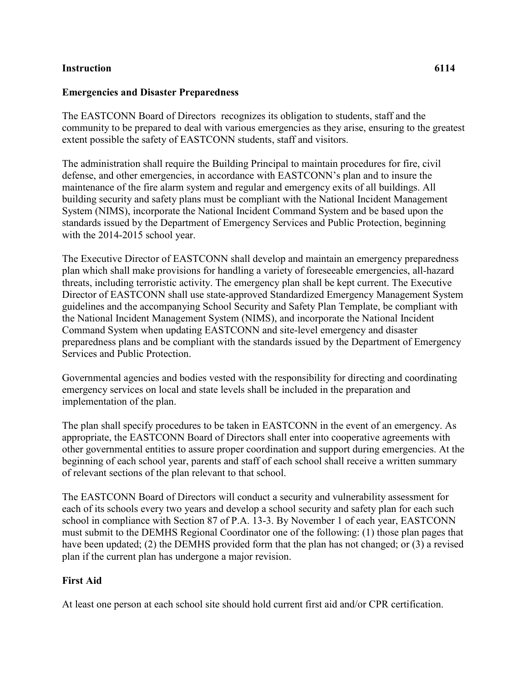## **Instruction 6114**

## **Emergencies and Disaster Preparedness**

The EASTCONN Board of Directors recognizes its obligation to students, staff and the community to be prepared to deal with various emergencies as they arise, ensuring to the greatest extent possible the safety of EASTCONN students, staff and visitors.

The administration shall require the Building Principal to maintain procedures for fire, civil defense, and other emergencies, in accordance with EASTCONN's plan and to insure the maintenance of the fire alarm system and regular and emergency exits of all buildings. All building security and safety plans must be compliant with the National Incident Management System (NIMS), incorporate the National Incident Command System and be based upon the standards issued by the Department of Emergency Services and Public Protection, beginning with the 2014-2015 school year.

The Executive Director of EASTCONN shall develop and maintain an emergency preparedness plan which shall make provisions for handling a variety of foreseeable emergencies, all-hazard threats, including terroristic activity. The emergency plan shall be kept current. The Executive Director of EASTCONN shall use state-approved Standardized Emergency Management System guidelines and the accompanying School Security and Safety Plan Template, be compliant with the National Incident Management System (NIMS), and incorporate the National Incident Command System when updating EASTCONN and site-level emergency and disaster preparedness plans and be compliant with the standards issued by the Department of Emergency Services and Public Protection.

Governmental agencies and bodies vested with the responsibility for directing and coordinating emergency services on local and state levels shall be included in the preparation and implementation of the plan.

The plan shall specify procedures to be taken in EASTCONN in the event of an emergency. As appropriate, the EASTCONN Board of Directors shall enter into cooperative agreements with other governmental entities to assure proper coordination and support during emergencies. At the beginning of each school year, parents and staff of each school shall receive a written summary of relevant sections of the plan relevant to that school.

The EASTCONN Board of Directors will conduct a security and vulnerability assessment for each of its schools every two years and develop a school security and safety plan for each such school in compliance with Section 87 of P.A. 13-3. By November 1 of each year, EASTCONN must submit to the DEMHS Regional Coordinator one of the following: (1) those plan pages that have been updated; (2) the DEMHS provided form that the plan has not changed; or (3) a revised plan if the current plan has undergone a major revision.

## **First Aid**

At least one person at each school site should hold current first aid and/or CPR certification.